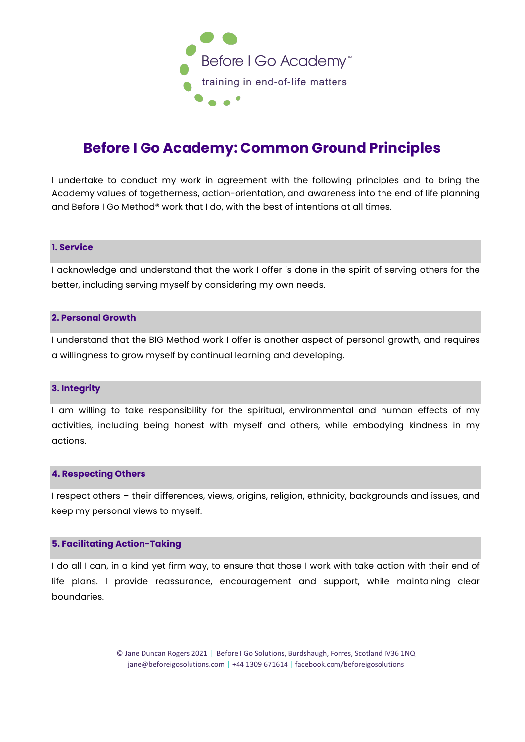

# **Before I Go Academy: Common Ground Principles**

I undertake to conduct my work in agreement with the following principles and to bring the Academy values of togetherness, action-orientation, and awareness into the end of life planning and Before I Go Method® work that I do, with the best of intentions at all times.

# **1. Service**

I acknowledge and understand that the work I offer is done in the spirit of serving others for the better, including serving myself by considering my own needs.

#### **2. Personal Growth**

I understand that the BIG Method work I offer is another aspect of personal growth, and requires a willingness to grow myself by continual learning and developing.

#### **3. Integrity**

I am willing to take responsibility for the spiritual, environmental and human effects of my activities, including being honest with myself and others, while embodying kindness in my actions.

#### **4. Respecting Others**

I respect others – their differences, views, origins, religion, ethnicity, backgrounds and issues, and keep my personal views to myself.

## **5. Facilitating Action-Taking**

I do all I can, in a kind yet firm way, to ensure that those I work with take action with their end of life plans. I provide reassurance, encouragement and support, while maintaining clear boundaries.

> © Jane Duncan Rogers 2021 | Before I Go Solutions, Burdshaugh, Forres, Scotland IV36 1NQ jane@beforeigosolutions.com | +44 1309 671614 | facebook.com/beforeigosolutions